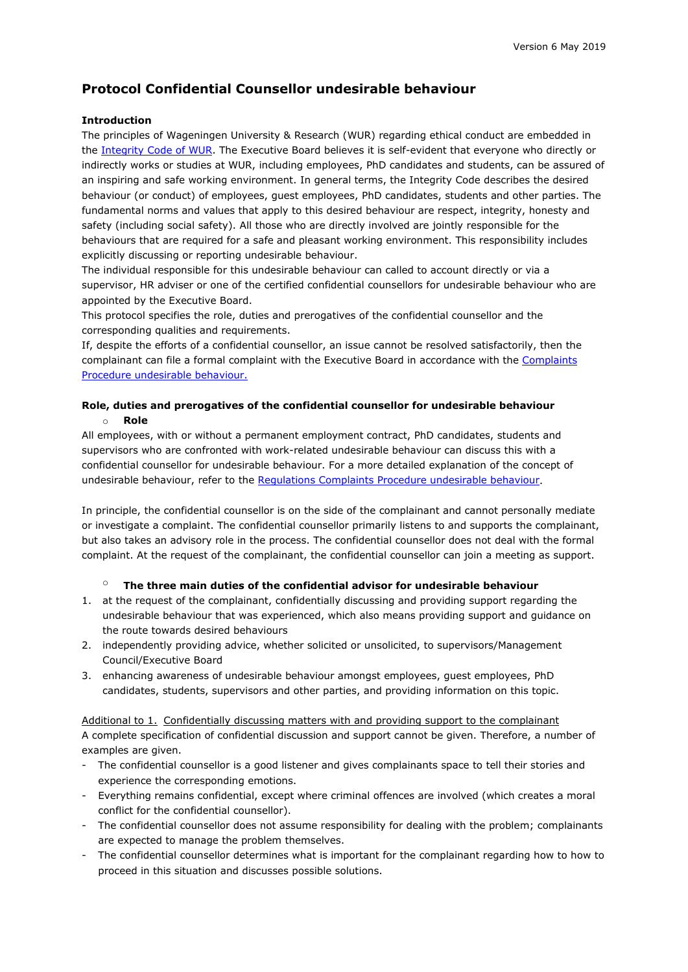# **Protocol Confidential Counsellor undesirable behaviour**

# **Introduction**

The principles of Wageningen University & Research (WUR) regarding ethical conduct are embedded in the [Integrity Code of WUR.](http://www.wur.nl/en/show/Integrity-code-Wageningen-UR.htm) The Executive Board believes it is self-evident that everyone who directly or indirectly works or studies at WUR, including employees, PhD candidates and students, can be assured of an inspiring and safe working environment. In general terms, the Integrity Code describes the desired behaviour (or conduct) of employees, guest employees, PhD candidates, students and other parties. The fundamental norms and values that apply to this desired behaviour are respect, integrity, honesty and safety (including social safety). All those who are directly involved are jointly responsible for the behaviours that are required for a safe and pleasant working environment. This responsibility includes explicitly discussing or reporting undesirable behaviour.

The individual responsible for this undesirable behaviour can called to account directly or via a supervisor, HR adviser or one of the certified confidential counsellors for undesirable behaviour who are appointed by the Executive Board.

This protocol specifies the role, duties and prerogatives of the confidential counsellor and the corresponding qualities and requirements.

If, despite the efforts of a confidential counsellor, an issue cannot be resolved satisfactorily, then the complainant can file a formal complaint with the Executive Board in accordance with the [Complaints](https://www.wur.nl/upload_mm/a/7/5/7b02afeb-a162-408c-a220-5fb3a5d53e15_Regulations%20on%20Complaints%20Procedure%20Undesirable%20Behaviour%20Wageningen%20University%20en%20Research.pdf)  [Procedure undesirable behaviour.](https://www.wur.nl/upload_mm/a/7/5/7b02afeb-a162-408c-a220-5fb3a5d53e15_Regulations%20on%20Complaints%20Procedure%20Undesirable%20Behaviour%20Wageningen%20University%20en%20Research.pdf)

# **Role, duties and prerogatives of the confidential counsellor for undesirable behaviour**  o **Role**

All employees, with or without a permanent employment contract, PhD candidates, students and supervisors who are confronted with work-related undesirable behaviour can discuss this with a confidential counsellor for undesirable behaviour. For a more detailed explanation of the concept of undesirable behaviour, refer to the [Regulations Complaints Procedure undesirable behaviour.](https://www.wur.nl/upload_mm/a/7/5/7b02afeb-a162-408c-a220-5fb3a5d53e15_Regulations%20on%20Complaints%20Procedure%20Undesirable%20Behaviour%20Wageningen%20University%20en%20Research.pdf)

In principle, the confidential counsellor is on the side of the complainant and cannot personally mediate or investigate a complaint. The confidential counsellor primarily listens to and supports the complainant, but also takes an advisory role in the process. The confidential counsellor does not deal with the formal complaint. At the request of the complainant, the confidential counsellor can join a meeting as support.

## o **The three main duties of the confidential advisor for undesirable behaviour**

- 1. at the request of the complainant, confidentially discussing and providing support regarding the undesirable behaviour that was experienced, which also means providing support and guidance on the route towards desired behaviours
- 2. independently providing advice, whether solicited or unsolicited, to supervisors/Management Council/Executive Board
- 3. enhancing awareness of undesirable behaviour amongst employees, guest employees, PhD candidates, students, supervisors and other parties, and providing information on this topic.

Additional to 1. Confidentially discussing matters with and providing support to the complainant A complete specification of confidential discussion and support cannot be given. Therefore, a number of examples are given.

- The confidential counsellor is a good listener and gives complainants space to tell their stories and experience the corresponding emotions.
- Everything remains confidential, except where criminal offences are involved (which creates a moral conflict for the confidential counsellor).
- The confidential counsellor does not assume responsibility for dealing with the problem; complainants are expected to manage the problem themselves.
- The confidential counsellor determines what is important for the complainant regarding how to how to proceed in this situation and discusses possible solutions.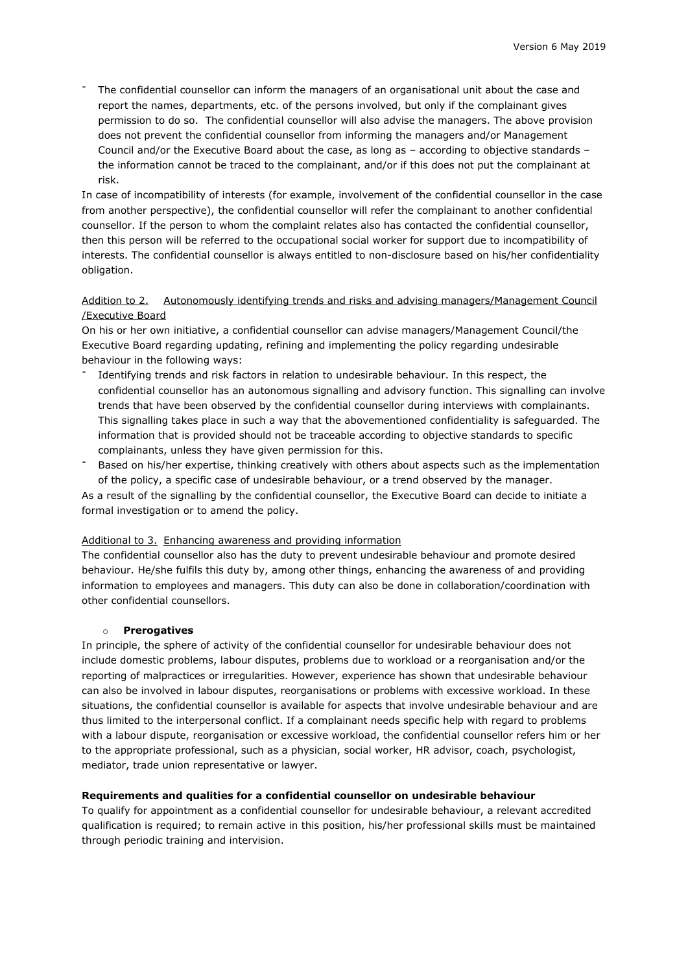The confidential counsellor can inform the managers of an organisational unit about the case and report the names, departments, etc. of the persons involved, but only if the complainant gives permission to do so. The confidential counsellor will also advise the managers. The above provision does not prevent the confidential counsellor from informing the managers and/or Management Council and/or the Executive Board about the case, as long as – according to objective standards – the information cannot be traced to the complainant, and/or if this does not put the complainant at risk.

In case of incompatibility of interests (for example, involvement of the confidential counsellor in the case from another perspective), the confidential counsellor will refer the complainant to another confidential counsellor. If the person to whom the complaint relates also has contacted the confidential counsellor, then this person will be referred to the occupational social worker for support due to incompatibility of interests. The confidential counsellor is always entitled to non-disclosure based on his/her confidentiality obligation.

## Addition to 2. Autonomously identifying trends and risks and advising managers/Management Council /Executive Board

On his or her own initiative, a confidential counsellor can advise managers/Management Council/the Executive Board regarding updating, refining and implementing the policy regarding undesirable behaviour in the following ways:

- Identifying trends and risk factors in relation to undesirable behaviour. In this respect, the confidential counsellor has an autonomous signalling and advisory function. This signalling can involve trends that have been observed by the confidential counsellor during interviews with complainants. This signalling takes place in such a way that the abovementioned confidentiality is safeguarded. The information that is provided should not be traceable according to objective standards to specific complainants, unless they have given permission for this.
- Based on his/her expertise, thinking creatively with others about aspects such as the implementation of the policy, a specific case of undesirable behaviour, or a trend observed by the manager.

As a result of the signalling by the confidential counsellor, the Executive Board can decide to initiate a formal investigation or to amend the policy.

## Additional to 3. Enhancing awareness and providing information

The confidential counsellor also has the duty to prevent undesirable behaviour and promote desired behaviour. He/she fulfils this duty by, among other things, enhancing the awareness of and providing information to employees and managers. This duty can also be done in collaboration/coordination with other confidential counsellors.

## o **Prerogatives**

In principle, the sphere of activity of the confidential counsellor for undesirable behaviour does not include domestic problems, labour disputes, problems due to workload or a reorganisation and/or the reporting of malpractices or irregularities. However, experience has shown that undesirable behaviour can also be involved in labour disputes, reorganisations or problems with excessive workload. In these situations, the confidential counsellor is available for aspects that involve undesirable behaviour and are thus limited to the interpersonal conflict. If a complainant needs specific help with regard to problems with a labour dispute, reorganisation or excessive workload, the confidential counsellor refers him or her to the appropriate professional, such as a physician, social worker, HR advisor, coach, psychologist, mediator, trade union representative or lawyer.

#### **Requirements and qualities for a confidential counsellor on undesirable behaviour**

To qualify for appointment as a confidential counsellor for undesirable behaviour, a relevant accredited qualification is required; to remain active in this position, his/her professional skills must be maintained through periodic training and intervision.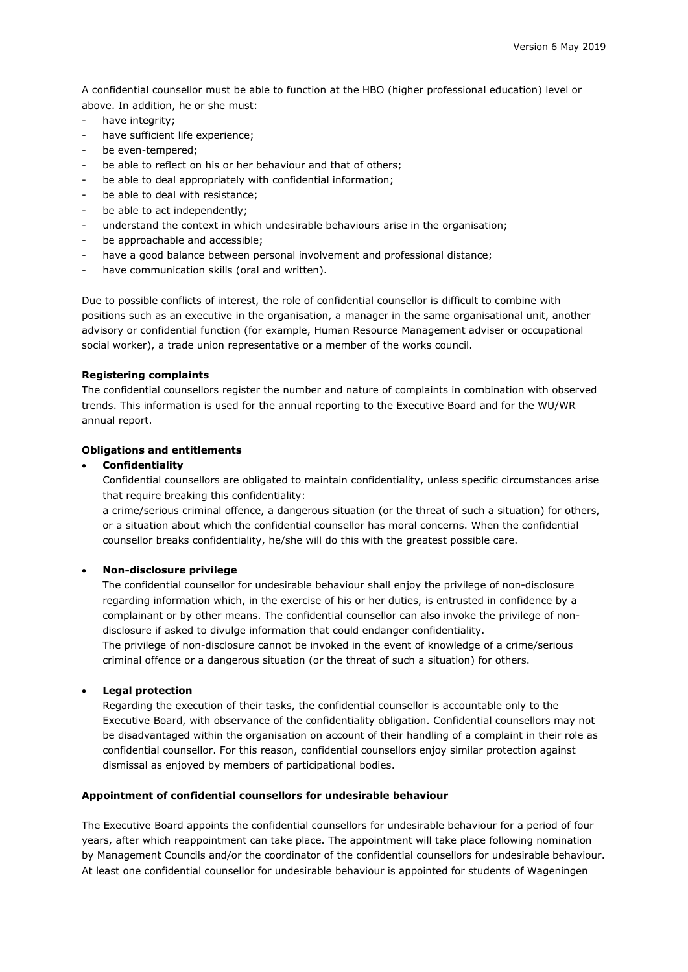A confidential counsellor must be able to function at the HBO (higher professional education) level or above. In addition, he or she must:

- have integrity;
- have sufficient life experience:
- be even-tempered;
- be able to reflect on his or her behaviour and that of others;
- be able to deal appropriately with confidential information;
- be able to deal with resistance;
- be able to act independently;
- understand the context in which undesirable behaviours arise in the organisation;
- be approachable and accessible;
- have a good balance between personal involvement and professional distance;
- have communication skills (oral and written).

Due to possible conflicts of interest, the role of confidential counsellor is difficult to combine with positions such as an executive in the organisation, a manager in the same organisational unit, another advisory or confidential function (for example, Human Resource Management adviser or occupational social worker), a trade union representative or a member of the works council.

#### **Registering complaints**

The confidential counsellors register the number and nature of complaints in combination with observed trends. This information is used for the annual reporting to the Executive Board and for the WU/WR annual report.

#### **Obligations and entitlements**

#### • **Confidentiality**

Confidential counsellors are obligated to maintain confidentiality, unless specific circumstances arise that require breaking this confidentiality:

a crime/serious criminal offence, a dangerous situation (or the threat of such a situation) for others, or a situation about which the confidential counsellor has moral concerns. When the confidential counsellor breaks confidentiality, he/she will do this with the greatest possible care.

#### • **Non-disclosure privilege**

The confidential counsellor for undesirable behaviour shall enjoy the privilege of non-disclosure regarding information which, in the exercise of his or her duties, is entrusted in confidence by a complainant or by other means. The confidential counsellor can also invoke the privilege of nondisclosure if asked to divulge information that could endanger confidentiality.

The privilege of non-disclosure cannot be invoked in the event of knowledge of a crime/serious criminal offence or a dangerous situation (or the threat of such a situation) for others.

#### • **Legal protection**

Regarding the execution of their tasks, the confidential counsellor is accountable only to the Executive Board, with observance of the confidentiality obligation. Confidential counsellors may not be disadvantaged within the organisation on account of their handling of a complaint in their role as confidential counsellor. For this reason, confidential counsellors enjoy similar protection against dismissal as enjoyed by members of participational bodies.

#### **Appointment of confidential counsellors for undesirable behaviour**

The Executive Board appoints the confidential counsellors for undesirable behaviour for a period of four years, after which reappointment can take place. The appointment will take place following nomination by Management Councils and/or the coordinator of the confidential counsellors for undesirable behaviour. At least one confidential counsellor for undesirable behaviour is appointed for students of Wageningen